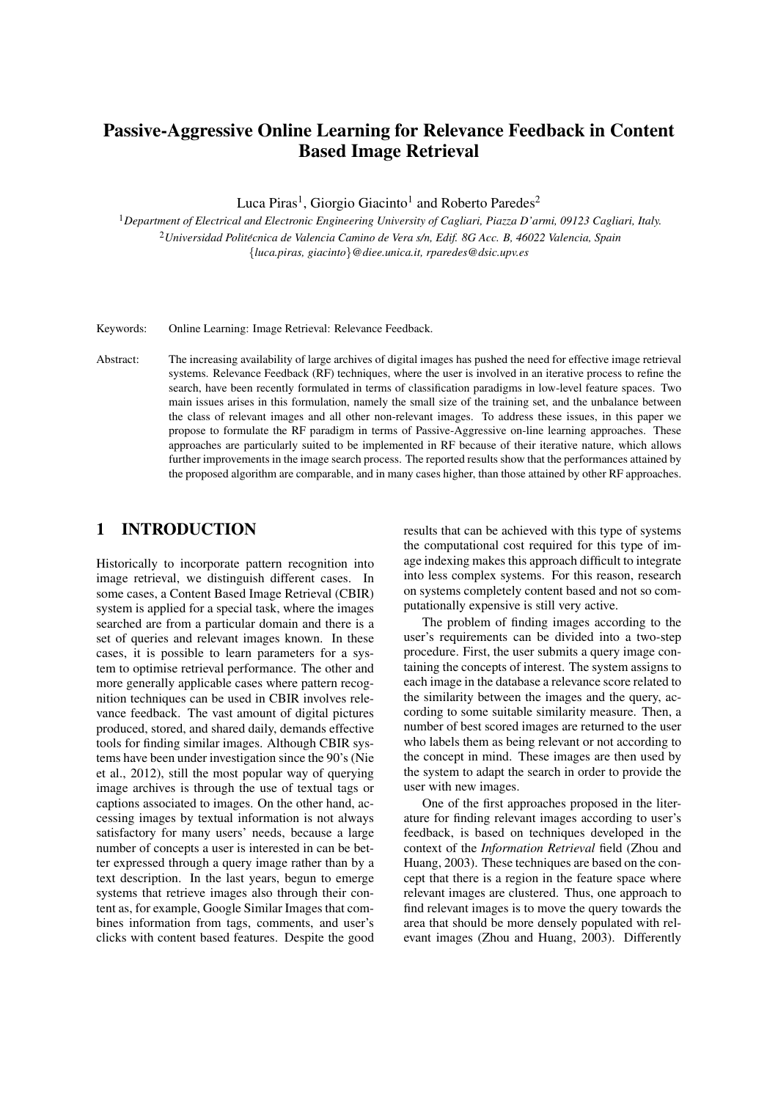# Passive-Aggressive Online Learning for Relevance Feedback in Content Based Image Retrieval

Luca Piras<sup>1</sup>, Giorgio Giacinto<sup>1</sup> and Roberto Paredes<sup>2</sup>

<sup>1</sup>*Department of Electrical and Electronic Engineering University of Cagliari, Piazza D'armi, 09123 Cagliari, Italy.* <sup>2</sup>*Universidad Politecnica de Valencia Camino de Vera s/n, Edif. 8G Acc. B, 46022 Valencia, Spain ´* {*luca.piras, giacinto*}*@diee.unica.it, rparedes@dsic.upv.es*

Keywords: Online Learning: Image Retrieval: Relevance Feedback.

Abstract: The increasing availability of large archives of digital images has pushed the need for effective image retrieval systems. Relevance Feedback (RF) techniques, where the user is involved in an iterative process to refine the search, have been recently formulated in terms of classification paradigms in low-level feature spaces. Two main issues arises in this formulation, namely the small size of the training set, and the unbalance between the class of relevant images and all other non-relevant images. To address these issues, in this paper we propose to formulate the RF paradigm in terms of Passive-Aggressive on-line learning approaches. These approaches are particularly suited to be implemented in RF because of their iterative nature, which allows further improvements in the image search process. The reported results show that the performances attained by the proposed algorithm are comparable, and in many cases higher, than those attained by other RF approaches.

# 1 INTRODUCTION

Historically to incorporate pattern recognition into image retrieval, we distinguish different cases. In some cases, a Content Based Image Retrieval (CBIR) system is applied for a special task, where the images searched are from a particular domain and there is a set of queries and relevant images known. In these cases, it is possible to learn parameters for a system to optimise retrieval performance. The other and more generally applicable cases where pattern recognition techniques can be used in CBIR involves relevance feedback. The vast amount of digital pictures produced, stored, and shared daily, demands effective tools for finding similar images. Although CBIR systems have been under investigation since the 90's (Nie et al., 2012), still the most popular way of querying image archives is through the use of textual tags or captions associated to images. On the other hand, accessing images by textual information is not always satisfactory for many users' needs, because a large number of concepts a user is interested in can be better expressed through a query image rather than by a text description. In the last years, begun to emerge systems that retrieve images also through their content as, for example, Google Similar Images that combines information from tags, comments, and user's clicks with content based features. Despite the good

results that can be achieved with this type of systems the computational cost required for this type of image indexing makes this approach difficult to integrate into less complex systems. For this reason, research on systems completely content based and not so computationally expensive is still very active.

The problem of finding images according to the user's requirements can be divided into a two-step procedure. First, the user submits a query image containing the concepts of interest. The system assigns to each image in the database a relevance score related to the similarity between the images and the query, according to some suitable similarity measure. Then, a number of best scored images are returned to the user who labels them as being relevant or not according to the concept in mind. These images are then used by the system to adapt the search in order to provide the user with new images.

One of the first approaches proposed in the literature for finding relevant images according to user's feedback, is based on techniques developed in the context of the *Information Retrieval* field (Zhou and Huang, 2003). These techniques are based on the concept that there is a region in the feature space where relevant images are clustered. Thus, one approach to find relevant images is to move the query towards the area that should be more densely populated with relevant images (Zhou and Huang, 2003). Differently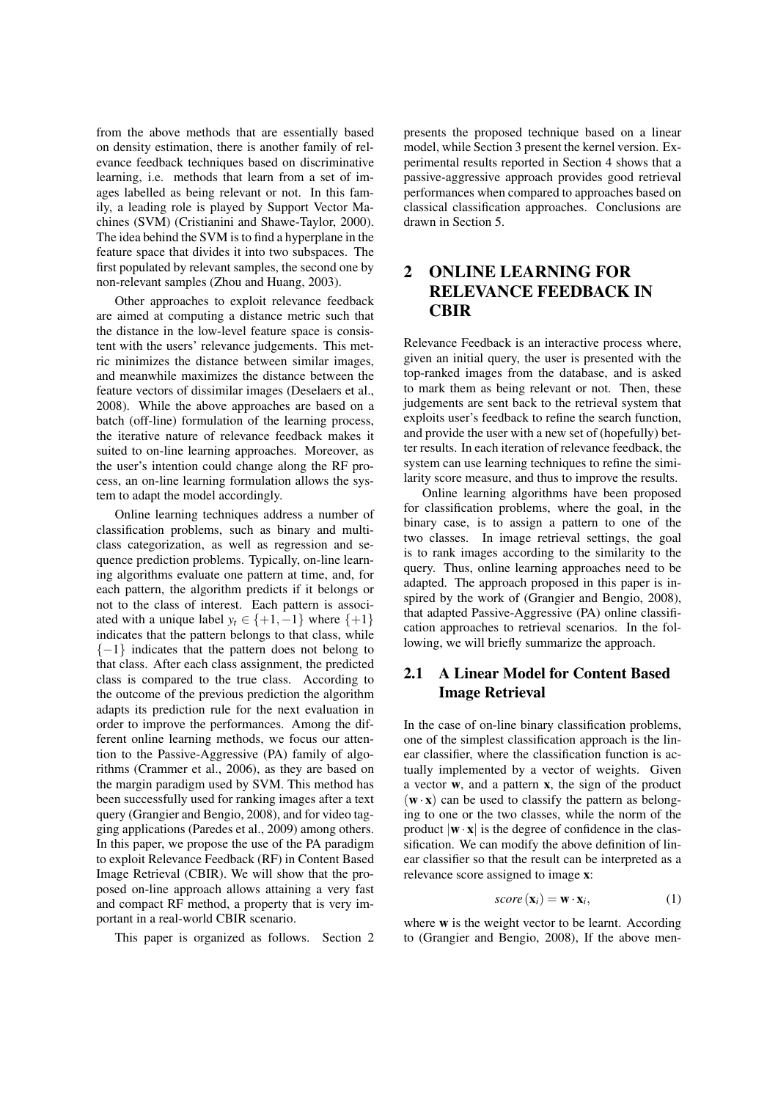from the above methods that are essentially based on density estimation, there is another family of relevance feedback techniques based on discriminative learning, i.e. methods that learn from a set of images labelled as being relevant or not. In this family, a leading role is played by Support Vector Machines (SVM) (Cristianini and Shawe-Taylor, 2000). The idea behind the SVM is to find a hyperplane in the feature space that divides it into two subspaces. The first populated by relevant samples, the second one by non-relevant samples (Zhou and Huang, 2003).

Other approaches to exploit relevance feedback are aimed at computing a distance metric such that the distance in the low-level feature space is consistent with the users' relevance judgements. This metric minimizes the distance between similar images, and meanwhile maximizes the distance between the feature vectors of dissimilar images (Deselaers et al., 2008). While the above approaches are based on a batch (off-line) formulation of the learning process, the iterative nature of relevance feedback makes it suited to on-line learning approaches. Moreover, as the user's intention could change along the RF process, an on-line learning formulation allows the system to adapt the model accordingly.

Online learning techniques address a number of classification problems, such as binary and multiclass categorization, as well as regression and sequence prediction problems. Typically, on-line learning algorithms evaluate one pattern at time, and, for each pattern, the algorithm predicts if it belongs or not to the class of interest. Each pattern is associated with a unique label  $y_t \in \{+1, -1\}$  where  $\{+1\}$ indicates that the pattern belongs to that class, while  ${-1}$  indicates that the pattern does not belong to that class. After each class assignment, the predicted class is compared to the true class. According to the outcome of the previous prediction the algorithm adapts its prediction rule for the next evaluation in order to improve the performances. Among the different online learning methods, we focus our attention to the Passive-Aggressive (PA) family of algorithms (Crammer et al., 2006), as they are based on the margin paradigm used by SVM. This method has been successfully used for ranking images after a text query (Grangier and Bengio, 2008), and for video tagging applications (Paredes et al., 2009) among others. In this paper, we propose the use of the PA paradigm to exploit Relevance Feedback (RF) in Content Based Image Retrieval (CBIR). We will show that the proposed on-line approach allows attaining a very fast and compact RF method, a property that is very important in a real-world CBIR scenario.

This paper is organized as follows. Section 2

presents the proposed technique based on a linear model, while Section 3 present the kernel version. Experimental results reported in Section 4 shows that a passive-aggressive approach provides good retrieval performances when compared to approaches based on classical classification approaches. Conclusions are drawn in Section 5.

# 2 ONLINE LEARNING FOR RELEVANCE FEEDBACK IN **CBIR**

Relevance Feedback is an interactive process where, given an initial query, the user is presented with the top-ranked images from the database, and is asked to mark them as being relevant or not. Then, these judgements are sent back to the retrieval system that exploits user's feedback to refine the search function, and provide the user with a new set of (hopefully) better results. In each iteration of relevance feedback, the system can use learning techniques to refine the similarity score measure, and thus to improve the results.

Online learning algorithms have been proposed for classification problems, where the goal, in the binary case, is to assign a pattern to one of the two classes. In image retrieval settings, the goal is to rank images according to the similarity to the query. Thus, online learning approaches need to be adapted. The approach proposed in this paper is inspired by the work of (Grangier and Bengio, 2008), that adapted Passive-Aggressive (PA) online classification approaches to retrieval scenarios. In the following, we will briefly summarize the approach.

# 2.1 A Linear Model for Content Based Image Retrieval

In the case of on-line binary classification problems, one of the simplest classification approach is the linear classifier, where the classification function is actually implemented by a vector of weights. Given a vector w, and a pattern x, the sign of the product  $(w \cdot x)$  can be used to classify the pattern as belonging to one or the two classes, while the norm of the product  $|\mathbf{w} \cdot \mathbf{x}|$  is the degree of confidence in the classification. We can modify the above definition of linear classifier so that the result can be interpreted as a relevance score assigned to image x:

$$
score(\mathbf{x}_i) = \mathbf{w} \cdot \mathbf{x}_i,
$$
 (1)

where **w** is the weight vector to be learnt. According to (Grangier and Bengio, 2008), If the above men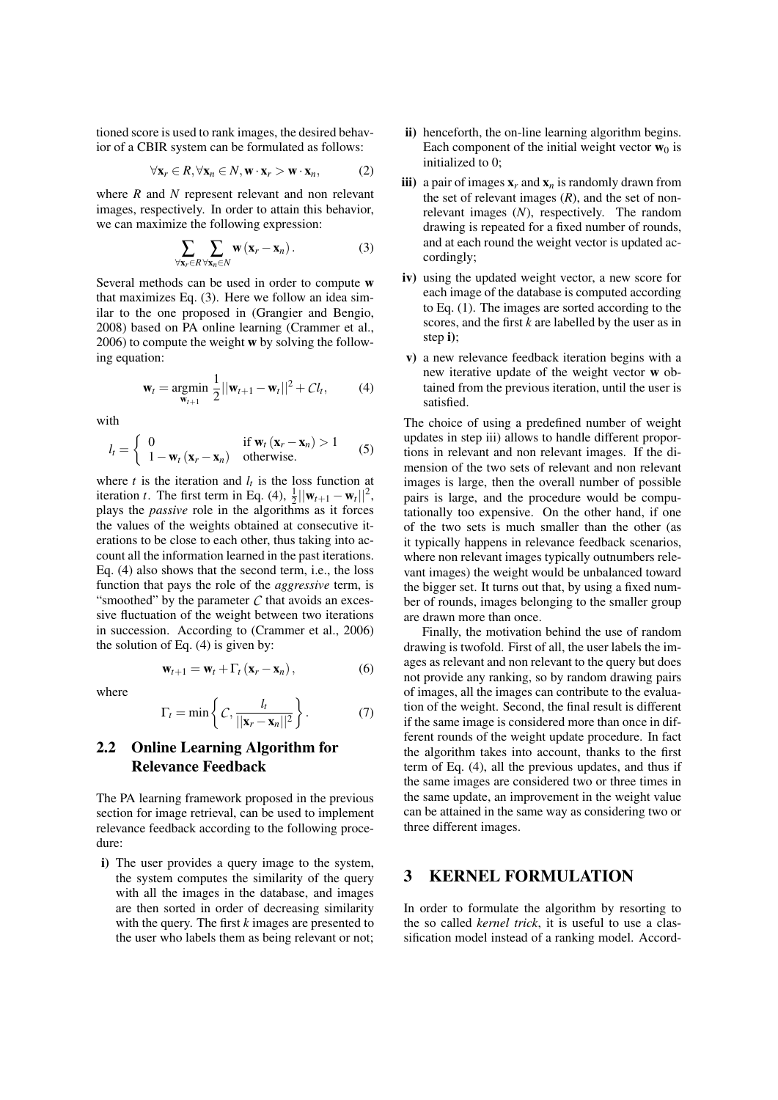tioned score is used to rank images, the desired behavior of a CBIR system can be formulated as follows:

$$
\forall \mathbf{x}_r \in R, \forall \mathbf{x}_n \in N, \mathbf{w} \cdot \mathbf{x}_r > \mathbf{w} \cdot \mathbf{x}_n,\tag{2}
$$

where *R* and *N* represent relevant and non relevant images, respectively. In order to attain this behavior, we can maximize the following expression:

$$
\sum_{\forall \mathbf{x}_r \in R} \sum_{\forall \mathbf{x}_n \in N} \mathbf{w} (\mathbf{x}_r - \mathbf{x}_n).
$$
 (3)

Several methods can be used in order to compute w that maximizes Eq. (3). Here we follow an idea similar to the one proposed in (Grangier and Bengio, 2008) based on PA online learning (Crammer et al., 2006) to compute the weight w by solving the following equation:

$$
\mathbf{w}_{t} = \underset{\mathbf{w}_{t+1}}{\text{argmin}} \frac{1}{2} ||\mathbf{w}_{t+1} - \mathbf{w}_{t}||^{2} + C l_{t}, \quad (4)
$$

with

$$
l_t = \begin{cases} 0 & \text{if } \mathbf{w}_t (\mathbf{x}_r - \mathbf{x}_n) > 1 \\ 1 - \mathbf{w}_t (\mathbf{x}_r - \mathbf{x}_n) & \text{otherwise.} \end{cases}
$$
(5)

where  $t$  is the iteration and  $l_t$  is the loss function at iteration *t*. The first term in Eq. (4),  $\frac{1}{2} ||\mathbf{w}_{t+1} - \mathbf{w}_t||^2$ , plays the *passive* role in the algorithms as it forces the values of the weights obtained at consecutive iterations to be close to each other, thus taking into account all the information learned in the past iterations. Eq. (4) also shows that the second term, i.e., the loss function that pays the role of the *aggressive* term, is "smoothed" by the parameter  $C$  that avoids an excessive fluctuation of the weight between two iterations in succession. According to (Crammer et al., 2006) the solution of Eq.  $(4)$  is given by:

$$
\mathbf{w}_{t+1} = \mathbf{w}_t + \Gamma_t (\mathbf{x}_r - \mathbf{x}_n), \tag{6}
$$

where

$$
\Gamma_t = \min \left\{ C, \frac{l_t}{||\mathbf{x}_r - \mathbf{x}_n||^2} \right\}.
$$
 (7)

### 2.2 Online Learning Algorithm for Relevance Feedback

The PA learning framework proposed in the previous section for image retrieval, can be used to implement relevance feedback according to the following procedure:

i) The user provides a query image to the system, the system computes the similarity of the query with all the images in the database, and images are then sorted in order of decreasing similarity with the query. The first *k* images are presented to the user who labels them as being relevant or not;

- ii) henceforth, the on-line learning algorithm begins. Each component of the initial weight vector  $w_0$  is initialized to 0;
- iii) a pair of images  $x_r$  and  $x_n$  is randomly drawn from the set of relevant images  $(R)$ , and the set of nonrelevant images (*N*), respectively. The random drawing is repeated for a fixed number of rounds, and at each round the weight vector is updated accordingly;
- iv) using the updated weight vector, a new score for each image of the database is computed according to Eq. (1). The images are sorted according to the scores, and the first *k* are labelled by the user as in step i);
- v) a new relevance feedback iteration begins with a new iterative update of the weight vector w obtained from the previous iteration, until the user is satisfied.

The choice of using a predefined number of weight updates in step iii) allows to handle different proportions in relevant and non relevant images. If the dimension of the two sets of relevant and non relevant images is large, then the overall number of possible pairs is large, and the procedure would be computationally too expensive. On the other hand, if one of the two sets is much smaller than the other (as it typically happens in relevance feedback scenarios, where non relevant images typically outnumbers relevant images) the weight would be unbalanced toward the bigger set. It turns out that, by using a fixed number of rounds, images belonging to the smaller group are drawn more than once.

Finally, the motivation behind the use of random drawing is twofold. First of all, the user labels the images as relevant and non relevant to the query but does not provide any ranking, so by random drawing pairs of images, all the images can contribute to the evaluation of the weight. Second, the final result is different if the same image is considered more than once in different rounds of the weight update procedure. In fact the algorithm takes into account, thanks to the first term of Eq. (4), all the previous updates, and thus if the same images are considered two or three times in the same update, an improvement in the weight value can be attained in the same way as considering two or three different images.

### 3 KERNEL FORMULATION

In order to formulate the algorithm by resorting to the so called *kernel trick*, it is useful to use a classification model instead of a ranking model. Accord-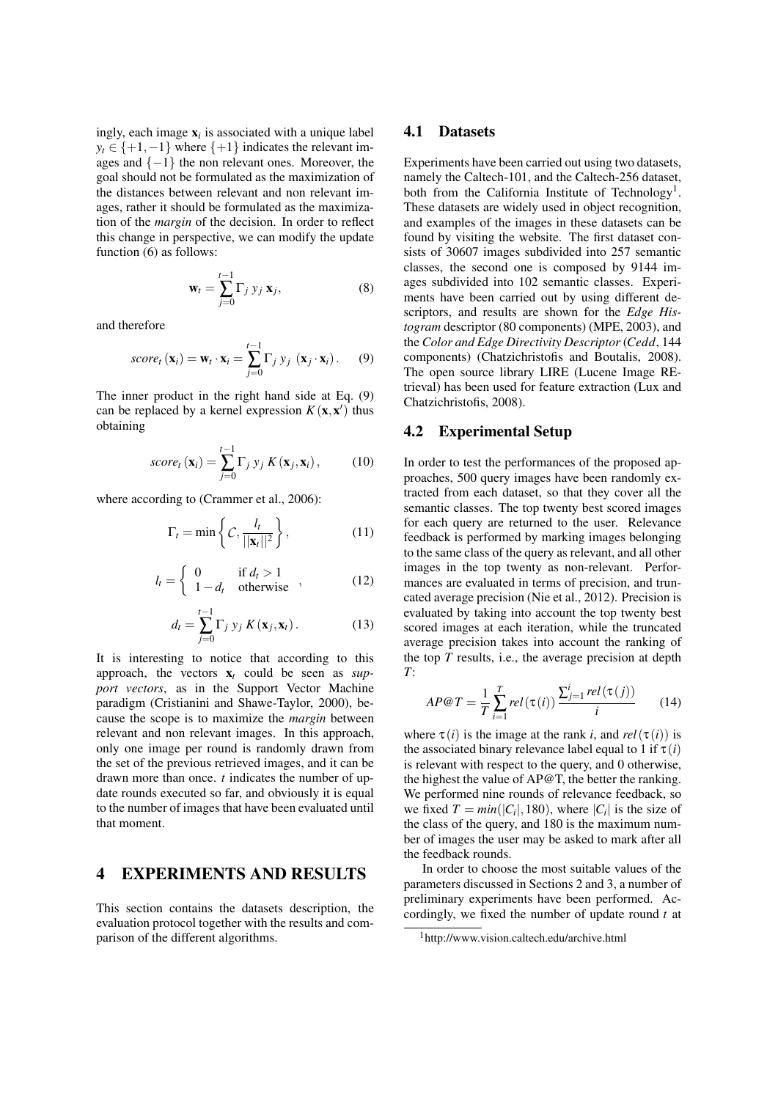ingly, each image  $x_i$  is associated with a unique label  $y_t \in \{+1, -1\}$  where  $\{+1\}$  indicates the relevant images and  $\{-1\}$  the non relevant ones. Moreover, the goal should not be formulated as the maximization of the distances between relevant and non relevant images, rather it should be formulated as the maximization of the *margin* of the decision. In order to reflect this change in perspective, we can modify the update function (6) as follows:

$$
\mathbf{w}_t = \sum_{j=0}^{t-1} \Gamma_j \, y_j \, \mathbf{x}_j,\tag{8}
$$

and therefore

score<sub>t</sub> 
$$
(\mathbf{x}_i)
$$
 =  $\mathbf{w}_t \cdot \mathbf{x}_i = \sum_{j=0}^{t-1} \Gamma_j y_j (\mathbf{x}_j \cdot \mathbf{x}_i).$  (9)

The inner product in the right hand side at Eq. (9) can be replaced by a kernel expression  $K(\mathbf{x}, \mathbf{x}')$  thus obtaining

$$
score_t(\mathbf{x}_i) = \sum_{j=0}^{t-1} \Gamma_j y_j K(\mathbf{x}_j, \mathbf{x}_i), \quad (10)
$$

where according to (Crammer et al., 2006):

$$
\Gamma_t = \min\left\{ C, \frac{l_t}{||\mathbf{x}_t||^2} \right\},\tag{11}
$$

$$
l_t = \begin{cases} 0 & \text{if } d_t > 1 \\ 1 - d_t & \text{otherwise} \end{cases}, \tag{12}
$$

$$
d_t = \sum_{j=0}^{t-1} \Gamma_j y_j K(\mathbf{x}_j, \mathbf{x}_t).
$$
 (13)

It is interesting to notice that according to this approach, the vectors  $x_t$  could be seen as  $\sup$ *port vectors*, as in the Support Vector Machine paradigm (Cristianini and Shawe-Taylor, 2000), because the scope is to maximize the *margin* between relevant and non relevant images. In this approach, only one image per round is randomly drawn from the set of the previous retrieved images, and it can be drawn more than once. *t* indicates the number of update rounds executed so far, and obviously it is equal to the number of images that have been evaluated until that moment.

#### 4 EXPERIMENTS AND RESULTS

This section contains the datasets description, the evaluation protocol together with the results and comparison of the different algorithms.

#### 4.1 Datasets

Experiments have been carried out using two datasets, namely the Caltech-101, and the Caltech-256 dataset, both from the California Institute of Technology<sup>1</sup>. These datasets are widely used in object recognition, and examples of the images in these datasets can be found by visiting the website. The first dataset consists of 30607 images subdivided into 257 semantic classes, the second one is composed by 9144 images subdivided into 102 semantic classes. Experiments have been carried out by using different descriptors, and results are shown for the *Edge Histogram* descriptor (80 components) (MPE, 2003), and the *Color and Edge Directivity Descriptor* (*Cedd*, 144 components) (Chatzichristofis and Boutalis, 2008). The open source library LIRE (Lucene Image REtrieval) has been used for feature extraction (Lux and Chatzichristofis, 2008).

#### 4.2 Experimental Setup

In order to test the performances of the proposed approaches, 500 query images have been randomly extracted from each dataset, so that they cover all the semantic classes. The top twenty best scored images for each query are returned to the user. Relevance feedback is performed by marking images belonging to the same class of the query as relevant, and all other images in the top twenty as non-relevant. Performances are evaluated in terms of precision, and truncated average precision (Nie et al., 2012). Precision is evaluated by taking into account the top twenty best scored images at each iteration, while the truncated average precision takes into account the ranking of the top *T* results, i.e., the average precision at depth *T*:

$$
AP@T = \frac{1}{T} \sum_{i=1}^{T} rel(\tau(i)) \frac{\sum_{j=1}^{i} rel(\tau(j))}{i}
$$
 (14)

where  $\tau(i)$  is the image at the rank *i*, and  $rel(\tau(i))$  is the associated binary relevance label equal to 1 if  $\tau(i)$ is relevant with respect to the query, and 0 otherwise, the highest the value of AP@T, the better the ranking. We performed nine rounds of relevance feedback, so we fixed  $T = min(|C_i|, 180)$ , where  $|C_i|$  is the size of the class of the query, and 180 is the maximum number of images the user may be asked to mark after all the feedback rounds.

In order to choose the most suitable values of the parameters discussed in Sections 2 and 3, a number of preliminary experiments have been performed. Accordingly, we fixed the number of update round *t* at

<sup>1</sup>http://www.vision.caltech.edu/archive.html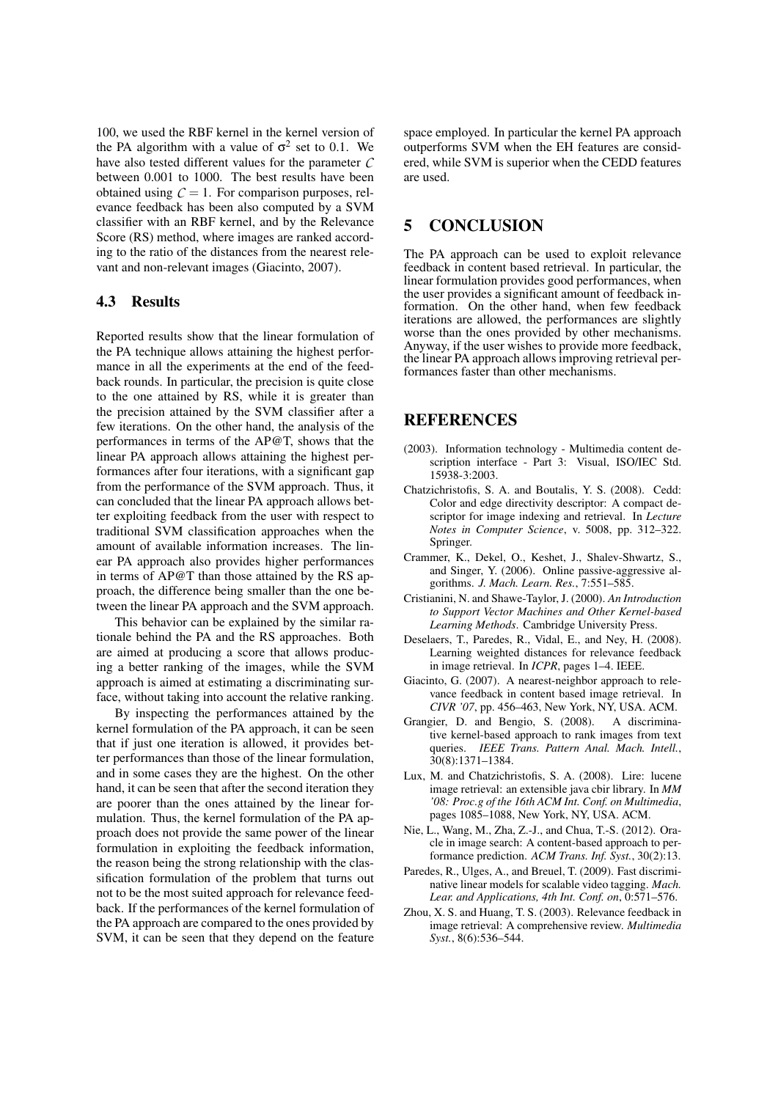100, we used the RBF kernel in the kernel version of the PA algorithm with a value of  $\sigma^2$  set to 0.1. We have also tested different values for the parameter *C* between 0.001 to 1000. The best results have been obtained using  $C = 1$ . For comparison purposes, relevance feedback has been also computed by a SVM classifier with an RBF kernel, and by the Relevance Score (RS) method, where images are ranked according to the ratio of the distances from the nearest relevant and non-relevant images (Giacinto, 2007).

#### 4.3 Results

Reported results show that the linear formulation of the PA technique allows attaining the highest performance in all the experiments at the end of the feedback rounds. In particular, the precision is quite close to the one attained by RS, while it is greater than the precision attained by the SVM classifier after a few iterations. On the other hand, the analysis of the performances in terms of the AP@T, shows that the linear PA approach allows attaining the highest performances after four iterations, with a significant gap from the performance of the SVM approach. Thus, it can concluded that the linear PA approach allows better exploiting feedback from the user with respect to traditional SVM classification approaches when the amount of available information increases. The linear PA approach also provides higher performances in terms of AP@T than those attained by the RS approach, the difference being smaller than the one between the linear PA approach and the SVM approach.

This behavior can be explained by the similar rationale behind the PA and the RS approaches. Both are aimed at producing a score that allows producing a better ranking of the images, while the SVM approach is aimed at estimating a discriminating surface, without taking into account the relative ranking.

By inspecting the performances attained by the kernel formulation of the PA approach, it can be seen that if just one iteration is allowed, it provides better performances than those of the linear formulation, and in some cases they are the highest. On the other hand, it can be seen that after the second iteration they are poorer than the ones attained by the linear formulation. Thus, the kernel formulation of the PA approach does not provide the same power of the linear formulation in exploiting the feedback information, the reason being the strong relationship with the classification formulation of the problem that turns out not to be the most suited approach for relevance feedback. If the performances of the kernel formulation of the PA approach are compared to the ones provided by SVM, it can be seen that they depend on the feature

space employed. In particular the kernel PA approach outperforms SVM when the EH features are considered, while SVM is superior when the CEDD features are used.

## 5 CONCLUSION

The PA approach can be used to exploit relevance feedback in content based retrieval. In particular, the linear formulation provides good performances, when the user provides a significant amount of feedback information. On the other hand, when few feedback iterations are allowed, the performances are slightly worse than the ones provided by other mechanisms. Anyway, if the user wishes to provide more feedback, the linear PA approach allows improving retrieval performances faster than other mechanisms.

# **REFERENCES**

- (2003). Information technology Multimedia content description interface - Part 3: Visual, ISO/IEC Std. 15938-3:2003.
- Chatzichristofis, S. A. and Boutalis, Y. S. (2008). Cedd: Color and edge directivity descriptor: A compact descriptor for image indexing and retrieval. In *Lecture Notes in Computer Science*, v. 5008, pp. 312–322. Springer.
- Crammer, K., Dekel, O., Keshet, J., Shalev-Shwartz, S., and Singer, Y. (2006). Online passive-aggressive algorithms. *J. Mach. Learn. Res.*, 7:551–585.
- Cristianini, N. and Shawe-Taylor, J. (2000). *An Introduction to Support Vector Machines and Other Kernel-based Learning Methods*. Cambridge University Press.
- Deselaers, T., Paredes, R., Vidal, E., and Ney, H. (2008). Learning weighted distances for relevance feedback in image retrieval. In *ICPR*, pages 1–4. IEEE.
- Giacinto, G. (2007). A nearest-neighbor approach to relevance feedback in content based image retrieval. In *CIVR '07*, pp. 456–463, New York, NY, USA. ACM.
- Grangier, D. and Bengio, S. (2008). A discriminative kernel-based approach to rank images from text queries. *IEEE Trans. Pattern Anal. Mach. Intell.*, 30(8):1371–1384.
- Lux, M. and Chatzichristofis, S. A. (2008). Lire: lucene image retrieval: an extensible java cbir library. In *MM '08: Proc.g of the 16th ACM Int. Conf. on Multimedia*, pages 1085–1088, New York, NY, USA. ACM.
- Nie, L., Wang, M., Zha, Z.-J., and Chua, T.-S. (2012). Oracle in image search: A content-based approach to performance prediction. *ACM Trans. Inf. Syst.*, 30(2):13.
- Paredes, R., Ulges, A., and Breuel, T. (2009). Fast discriminative linear models for scalable video tagging. *Mach. Lear. and Applications, 4th Int. Conf. on*, 0:571–576.
- Zhou, X. S. and Huang, T. S. (2003). Relevance feedback in image retrieval: A comprehensive review. *Multimedia Syst.*, 8(6):536–544.